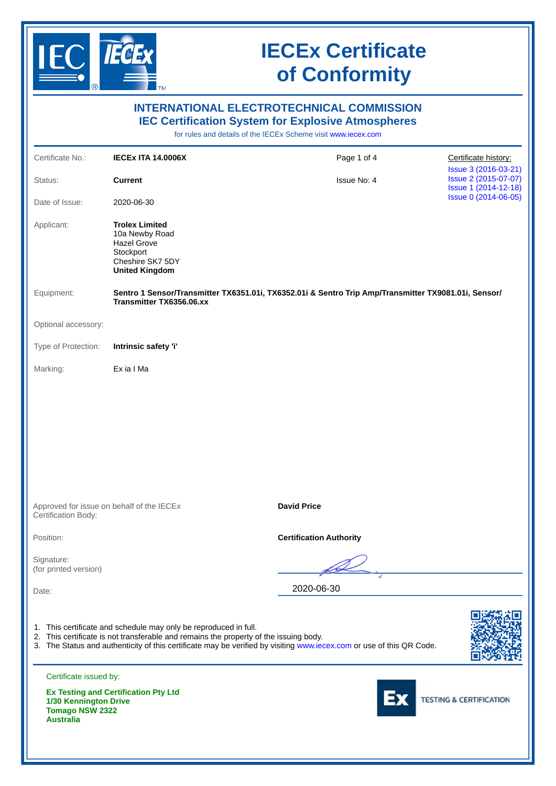

|                                                                     |                                                                                                                                                           | <b>INTERNATIONAL ELECTROTECHNICAL COMMISSION</b><br><b>IEC Certification System for Explosive Atmospheres</b><br>for rules and details of the IECEx Scheme visit www.iecex.com |                                                                      |  |  |  |
|---------------------------------------------------------------------|-----------------------------------------------------------------------------------------------------------------------------------------------------------|--------------------------------------------------------------------------------------------------------------------------------------------------------------------------------|----------------------------------------------------------------------|--|--|--|
| Certificate No.:                                                    | <b>IECEX ITA 14.0006X</b>                                                                                                                                 | Page 1 of 4                                                                                                                                                                    | Certificate history:                                                 |  |  |  |
| Status:                                                             | <b>Current</b>                                                                                                                                            | Issue No: 4                                                                                                                                                                    | Issue 3 (2016-03-21)<br>Issue 2 (2015-07-07)<br>Issue 1 (2014-12-18) |  |  |  |
| Date of Issue:                                                      | 2020-06-30                                                                                                                                                |                                                                                                                                                                                | Issue 0 (2014-06-05)                                                 |  |  |  |
| Applicant:                                                          | <b>Trolex Limited</b><br>10a Newby Road<br><b>Hazel Grove</b><br>Stockport<br>Cheshire SK7 5DY<br><b>United Kingdom</b>                                   |                                                                                                                                                                                |                                                                      |  |  |  |
| Equipment:                                                          | Transmitter TX6356.06.xx                                                                                                                                  | Sentro 1 Sensor/Transmitter TX6351.01i, TX6352.01i & Sentro Trip Amp/Transmitter TX9081.01i, Sensor/                                                                           |                                                                      |  |  |  |
| Optional accessory:                                                 |                                                                                                                                                           |                                                                                                                                                                                |                                                                      |  |  |  |
| Type of Protection:                                                 | Intrinsic safety 'i'                                                                                                                                      |                                                                                                                                                                                |                                                                      |  |  |  |
| Marking:                                                            | Ex ia I Ma                                                                                                                                                |                                                                                                                                                                                |                                                                      |  |  |  |
| Approved for issue on behalf of the IECEx<br>Certification Body:    |                                                                                                                                                           | <b>David Price</b>                                                                                                                                                             |                                                                      |  |  |  |
| Position:                                                           |                                                                                                                                                           | <b>Certification Authority</b>                                                                                                                                                 |                                                                      |  |  |  |
| Signature:<br>(for printed version)                                 |                                                                                                                                                           |                                                                                                                                                                                |                                                                      |  |  |  |
| Date:                                                               |                                                                                                                                                           | 2020-06-30                                                                                                                                                                     |                                                                      |  |  |  |
|                                                                     | 1. This certificate and schedule may only be reproduced in full.<br>2. This certificate is not transferable and remains the property of the issuing body. | 3. The Status and authenticity of this certificate may be verified by visiting www.iecex.com or use of this QR Code.                                                           |                                                                      |  |  |  |
| Certificate issued by:                                              | <b>Ex Testing and Certification Pty Ltd</b>                                                                                                               |                                                                                                                                                                                |                                                                      |  |  |  |
| 1/30 Kennington Drive<br><b>Tomago NSW 2322</b><br><b>Australia</b> |                                                                                                                                                           |                                                                                                                                                                                | <b>TESTING &amp; CERTIFICATION</b>                                   |  |  |  |
|                                                                     |                                                                                                                                                           |                                                                                                                                                                                |                                                                      |  |  |  |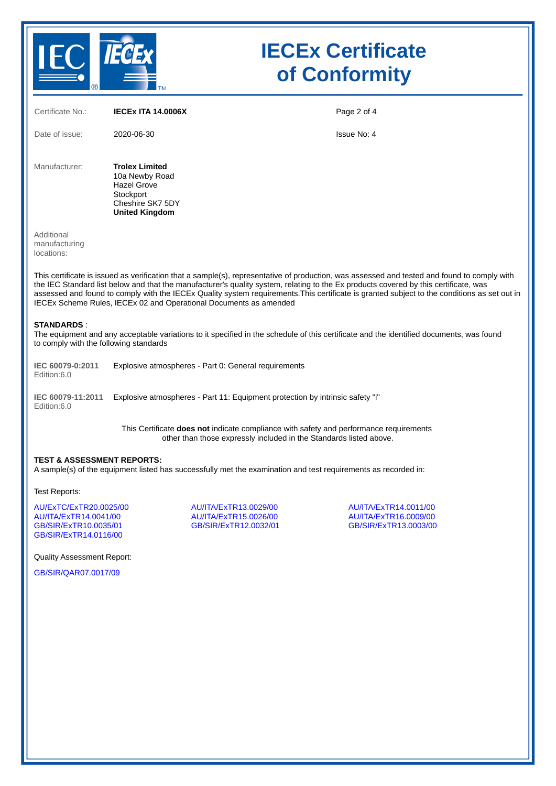

| Certificate No.:                                                                                                                                                                                                                                        | <b>IECEX ITA 14.0006X</b>                                                                                               |                                                                                                                                                              | Page 2 of 4                                                                                                                                                                                                                                                                                                                                                                                                                         |  |  |  |  |
|---------------------------------------------------------------------------------------------------------------------------------------------------------------------------------------------------------------------------------------------------------|-------------------------------------------------------------------------------------------------------------------------|--------------------------------------------------------------------------------------------------------------------------------------------------------------|-------------------------------------------------------------------------------------------------------------------------------------------------------------------------------------------------------------------------------------------------------------------------------------------------------------------------------------------------------------------------------------------------------------------------------------|--|--|--|--|
| Date of issue:                                                                                                                                                                                                                                          | 2020-06-30                                                                                                              |                                                                                                                                                              | Issue No: 4                                                                                                                                                                                                                                                                                                                                                                                                                         |  |  |  |  |
| Manufacturer:                                                                                                                                                                                                                                           | <b>Trolex Limited</b><br>10a Newby Road<br><b>Hazel Grove</b><br>Stockport<br>Cheshire SK7 5DY<br><b>United Kingdom</b> |                                                                                                                                                              |                                                                                                                                                                                                                                                                                                                                                                                                                                     |  |  |  |  |
| Additional<br>manufacturing<br>locations:                                                                                                                                                                                                               |                                                                                                                         |                                                                                                                                                              |                                                                                                                                                                                                                                                                                                                                                                                                                                     |  |  |  |  |
|                                                                                                                                                                                                                                                         |                                                                                                                         | IECEx Scheme Rules, IECEx 02 and Operational Documents as amended                                                                                            | This certificate is issued as verification that a sample(s), representative of production, was assessed and tested and found to comply with<br>the IEC Standard list below and that the manufacturer's quality system, relating to the Ex products covered by this certificate, was<br>assessed and found to comply with the IECEx Quality system requirements. This certificate is granted subject to the conditions as set out in |  |  |  |  |
| <b>STANDARDS:</b><br>to comply with the following standards                                                                                                                                                                                             |                                                                                                                         |                                                                                                                                                              | The equipment and any acceptable variations to it specified in the schedule of this certificate and the identified documents, was found                                                                                                                                                                                                                                                                                             |  |  |  |  |
| IEC 60079-0:2011<br>Edition:6.0                                                                                                                                                                                                                         |                                                                                                                         | Explosive atmospheres - Part 0: General requirements                                                                                                         |                                                                                                                                                                                                                                                                                                                                                                                                                                     |  |  |  |  |
| IEC 60079-11:2011<br>Edition:6.0                                                                                                                                                                                                                        |                                                                                                                         | Explosive atmospheres - Part 11: Equipment protection by intrinsic safety "i"                                                                                |                                                                                                                                                                                                                                                                                                                                                                                                                                     |  |  |  |  |
|                                                                                                                                                                                                                                                         |                                                                                                                         | This Certificate does not indicate compliance with safety and performance requirements<br>other than those expressly included in the Standards listed above. |                                                                                                                                                                                                                                                                                                                                                                                                                                     |  |  |  |  |
| <b>TEST &amp; ASSESSMENT REPORTS:</b><br>A sample(s) of the equipment listed has successfully met the examination and test requirements as recorded in:                                                                                                 |                                                                                                                         |                                                                                                                                                              |                                                                                                                                                                                                                                                                                                                                                                                                                                     |  |  |  |  |
| Test Reports:                                                                                                                                                                                                                                           |                                                                                                                         |                                                                                                                                                              |                                                                                                                                                                                                                                                                                                                                                                                                                                     |  |  |  |  |
| AU/ExTC/ExTR20.0025/00<br>AU/ITA/ExTR13.0029/00<br>AU/ITA/ExTR14.0011/00<br>AU/ITA/ExTR14.0041/00<br>AU/ITA/ExTR15.0026/00<br>AU/ITA/ExTR16.0009/00<br>GB/SIR/ExTR10.0035/01<br>GB/SIR/ExTR12.0032/01<br>GB/SIR/ExTR13.0003/00<br>GB/SIR/ExTR14.0116/00 |                                                                                                                         |                                                                                                                                                              |                                                                                                                                                                                                                                                                                                                                                                                                                                     |  |  |  |  |
| <b>Quality Assessment Report:</b>                                                                                                                                                                                                                       |                                                                                                                         |                                                                                                                                                              |                                                                                                                                                                                                                                                                                                                                                                                                                                     |  |  |  |  |
| GB/SIR/OAR07.0017/09                                                                                                                                                                                                                                    |                                                                                                                         |                                                                                                                                                              |                                                                                                                                                                                                                                                                                                                                                                                                                                     |  |  |  |  |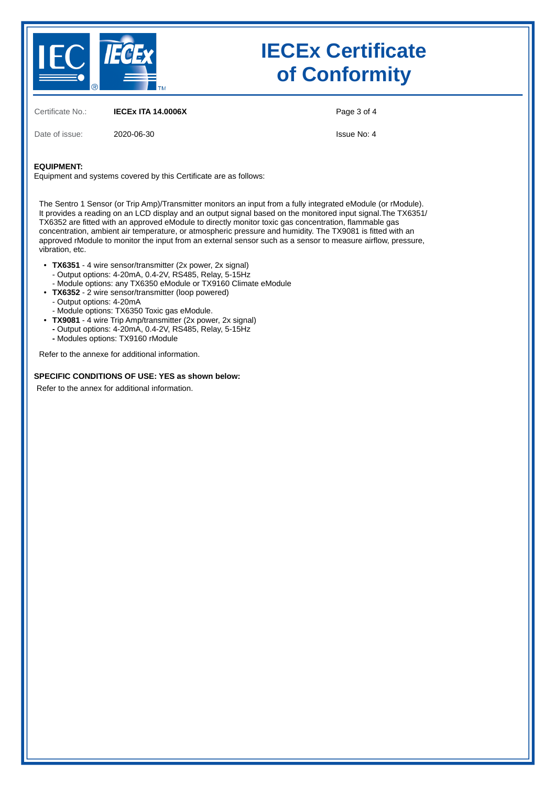

Certificate No.: **IECEx ITA 14.0006X**

Page 3 of 4

Date of issue: 2020-06-30

Issue No: 4

#### **EQUIPMENT:**

•

Equipment and systems covered by this Certificate are as follows:

The Sentro 1 Sensor (or Trip Amp)/Transmitter monitors an input from a fully integrated eModule (or rModule). It provides a reading on an LCD display and an output signal based on the monitored input signal.The TX6351/ TX6352 are fitted with an approved eModule to directly monitor toxic gas concentration, flammable gas concentration, ambient air temperature, or atmospheric pressure and humidity. The TX9081 is fitted with an approved rModule to monitor the input from an external sensor such as a sensor to measure airflow, pressure, vibration, etc.

- **TX6351** 4 wire sensor/transmitter (2x power, 2x signal) - Output options: 4-20mA, 0.4-2V, RS485, Relay, 5-15Hz
	- Module options: any TX6350 eModule or TX9160 Climate eModule
	- **TX6352** 2 wire sensor/transmitter (loop powered)
	- Output options: 4-20mA
- - Module options: TX6350 Toxic gas eModule.
- **TX9081** 4 wire Trip Amp/transmitter (2x power, 2x signal)
- **-** Output options: 4-20mA, 0.4-2V, RS485, Relay, 5-15Hz **-** Modules options: TX9160 rModule
- 

Refer to the annexe for additional information.

#### **SPECIFIC CONDITIONS OF USE: YES as shown below:**

Refer to the annex for additional information.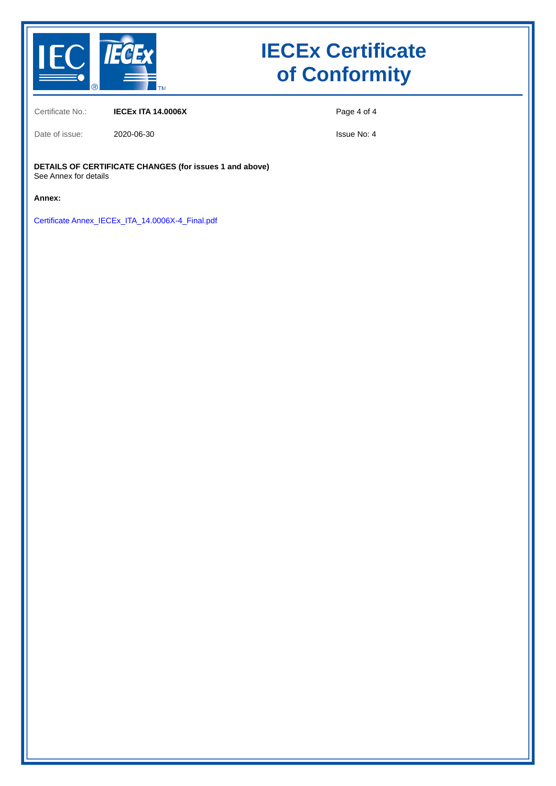

Certificate No.: **IECEx ITA 14.0006X**

Date of issue: 2020-06-30

Page 4 of 4

Issue No: 4

**DETAILS OF CERTIFICATE CHANGES (for issues 1 and above)** See Annex for details

**Annex:**

Certificate Annex\_IECEx\_ITA\_14.0006X-4\_Final.pdf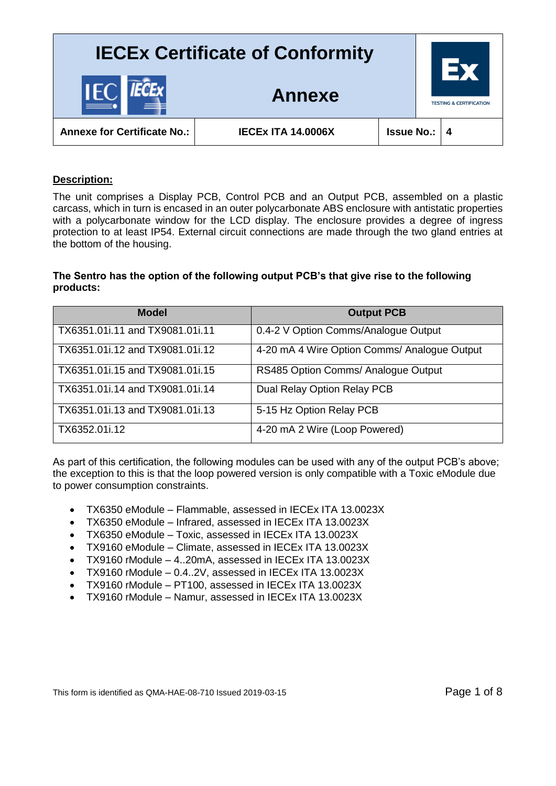

#### **Description:**

The unit comprises a Display PCB, Control PCB and an Output PCB, assembled on a plastic carcass, which in turn is encased in an outer polycarbonate ABS enclosure with antistatic properties with a polycarbonate window for the LCD display. The enclosure provides a degree of ingress protection to at least IP54. External circuit connections are made through the two gland entries at the bottom of the housing.

#### **The Sentro has the option of the following output PCB's that give rise to the following products:**

| <b>Model</b>                    | <b>Output PCB</b>                            |
|---------------------------------|----------------------------------------------|
| TX6351.01i.11 and TX9081.01i.11 | 0.4-2 V Option Comms/Analogue Output         |
| TX6351.01i.12 and TX9081.01i.12 | 4-20 mA 4 Wire Option Comms/ Analogue Output |
| TX6351.01i.15 and TX9081.01i.15 | RS485 Option Comms/ Analogue Output          |
| TX6351.01i.14 and TX9081.01i.14 | Dual Relay Option Relay PCB                  |
| TX6351.01i.13 and TX9081.01i.13 | 5-15 Hz Option Relay PCB                     |
| TX6352.01i.12                   | 4-20 mA 2 Wire (Loop Powered)                |

As part of this certification, the following modules can be used with any of the output PCB's above; the exception to this is that the loop powered version is only compatible with a Toxic eModule due to power consumption constraints.

- TX6350 eModule Flammable, assessed in IECEx ITA 13.0023X
- TX6350 eModule Infrared, assessed in IECEx ITA 13.0023X
- TX6350 eModule Toxic, assessed in IECEx ITA 13.0023X
- TX9160 eModule Climate, assessed in IECEx ITA 13.0023X
- TX9160 rModule 4..20mA, assessed in IECEx ITA 13.0023X
- TX9160 rModule 0.4..2V, assessed in IECEx ITA 13.0023X
- TX9160 rModule PT100, assessed in IECEx ITA 13.0023X
- TX9160 rModule Namur, assessed in IECEx ITA 13.0023X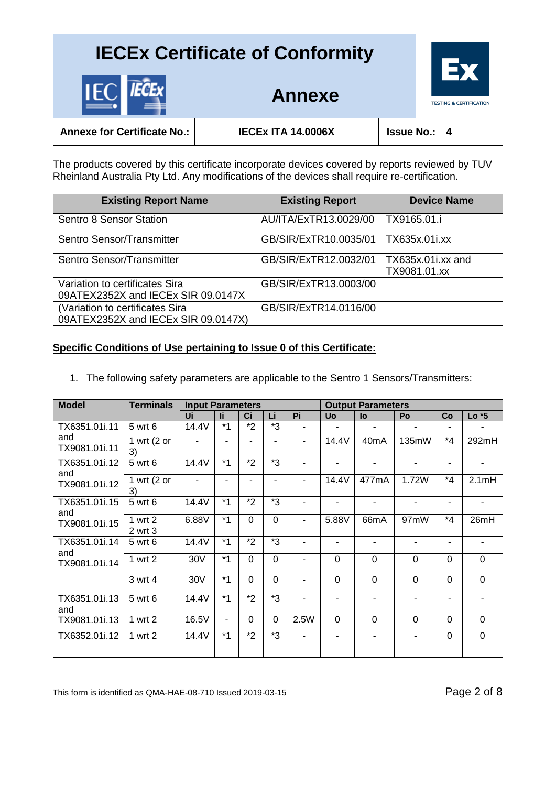

**Annexe for Certificate No.: IECEx ITA 14.0006X Issue No.: 4**

**Annexe**

The products covered by this certificate incorporate devices covered by reports reviewed by TUV Rheinland Australia Pty Ltd. Any modifications of the devices shall require re-certification.

| <b>Existing Report Name</b>                                            | <b>Existing Report</b> | <b>Device Name</b>                |
|------------------------------------------------------------------------|------------------------|-----------------------------------|
| <b>Sentro 8 Sensor Station</b>                                         | AU/ITA/ExTR13.0029/00  | TX9165.01.i                       |
| Sentro Sensor/Transmitter                                              | GB/SIR/ExTR10.0035/01  | TX635x.01i.xx                     |
| Sentro Sensor/Transmitter                                              | GB/SIR/ExTR12.0032/01  | TX635x.01i.xx and<br>TX9081.01.xx |
| Variation to certificates Sira<br>09ATEX2352X and IECEx SIR 09.0147X   | GB/SIR/ExTR13.0003/00  |                                   |
| (Variation to certificates Sira<br>09ATEX2352X and IECEx SIR 09.0147X) | GB/SIR/ExTR14.0116/00  |                                   |

### **Specific Conditions of Use pertaining to Issue 0 of this Certificate:**

1. The following safety parameters are applicable to the Sentro 1 Sensors/Transmitters:

| <b>Model</b>         | <b>Terminals</b>             | <b>Input Parameters</b> |      |             |                |      | <b>Output Parameters</b> |                   |                |                |         |
|----------------------|------------------------------|-------------------------|------|-------------|----------------|------|--------------------------|-------------------|----------------|----------------|---------|
|                      |                              | Ui                      |      | Ci          | Li             | Pi   | <b>Uo</b>                | lo                | Po             | Co             | $Lo *5$ |
| TX6351.01i.11        | 5 wrt 6                      | 14.4V                   | $*1$ | $*2$        | *3             |      | ٠                        | ٠                 | ۰              |                |         |
| and<br>TX9081.01i.11 | 1 wrt $(2 \text{ or }$<br>3) |                         |      |             |                | ٠    | 14.4V                    | 40 <sub>m</sub> A | 135mW          | $*_{4}$        | 292mH   |
| TX6351.01i.12<br>and | 5 wrt 6                      | 14.4V                   | $*1$ | $*_{2}$     | *3             |      | $\blacksquare$           | $\blacksquare$    | $\blacksquare$ | ٠              | ٠       |
| TX9081.01i.12        | 1 wrt $(2 or$<br>3)          |                         |      |             |                |      | 14.4V                    | 477mA             | 1.72W          | $*_{4}$        | 2.1mH   |
| TX6351.01i.15<br>and | 5 wrt 6                      | 14.4V                   | $*1$ | $*2$        | *3             |      |                          |                   |                |                |         |
| TX9081.01i.15        | 1 wrt 2<br>2 wrt 3           | 6.88V                   | $*1$ | $\mathbf 0$ | $\overline{0}$ |      | 5.88V                    | 66mA              | 97mW           | *4             | 26mH    |
| TX6351.01i.14<br>and | 5 wrt 6                      | 14.4V                   | $*1$ | *2          | *3             |      | ۰                        | $\blacksquare$    | ٠              | Ξ.             |         |
| TX9081.01i.14        | 1 wrt 2                      | 30V                     | $*1$ | $\Omega$    | $\Omega$       |      | $\Omega$                 | $\overline{0}$    | 0              | $\Omega$       | 0       |
|                      | 3 wrt 4                      | 30V                     | $*1$ | $\Omega$    | $\overline{0}$ |      | 0                        | $\overline{0}$    | $\Omega$       | $\overline{0}$ | 0       |
| TX6351.01i.13<br>and | 5 wrt 6                      | 14.4V                   | $*1$ | $*_{2}$     | *3             |      |                          |                   |                |                |         |
| TX9081.01i.13        | 1 wrt 2                      | 16.5V                   | ٠    | $\Omega$    | $\overline{0}$ | 2.5W | $\mathbf 0$              | $\overline{0}$    | $\Omega$       | $\overline{0}$ | 0       |
| TX6352.01i.12        | 1 wrt 2                      | 14.4V                   | $*1$ | $*2$        | *3             |      | ۰                        | -                 | ۰              | $\Omega$       | 0       |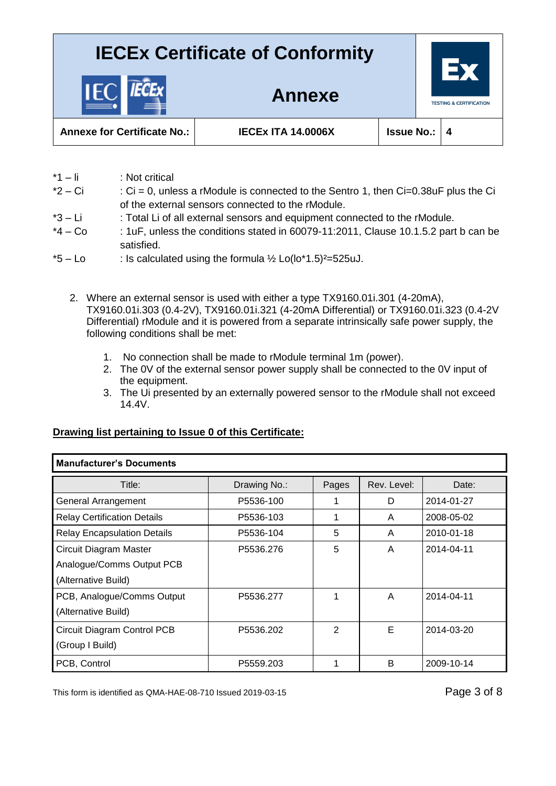

**Annexe for Certificate No.: IECEx ITA 14.0006X Issue No.: 4**

- \*1 li : Not critical
- $*2 Ci$  : Ci = 0, unless a rModule is connected to the Sentro 1, then Ci=0.38uF plus the Ci of the external sensors connected to the rModule.

**Annexe**

- \*3 Li : Total Li of all external sensors and equipment connected to the rModule.
- $*4 Co$  : 1uF, unless the conditions stated in 60079-11:2011, Clause 10.1.5.2 part b can be satisfied.
- $*5 Lo$  : Is calculated using the formula  $\frac{1}{2}$  Lo(lo $*1.5$ )<sup>2</sup>=525uJ.
	- 2. Where an external sensor is used with either a type TX9160.01i.301 (4-20mA), TX9160.01i.303 (0.4-2V), TX9160.01i.321 (4-20mA Differential) or TX9160.01i.323 (0.4-2V Differential) rModule and it is powered from a separate intrinsically safe power supply, the following conditions shall be met:
		- 1. No connection shall be made to rModule terminal 1m (power).
		- 2. The 0V of the external sensor power supply shall be connected to the 0V input of the equipment.
		- 3. The Ui presented by an externally powered sensor to the rModule shall not exceed 14.4V.

#### **Drawing list pertaining to Issue 0 of this Certificate:**

| <b>Manufacturer's Documents</b>    |              |       |             |            |  |  |  |  |  |
|------------------------------------|--------------|-------|-------------|------------|--|--|--|--|--|
| Title:                             | Drawing No.: | Pages | Rev. Level: | Date:      |  |  |  |  |  |
| General Arrangement                | P5536-100    |       | D           | 2014-01-27 |  |  |  |  |  |
| <b>Relay Certification Details</b> | P5536-103    | 1     | A           | 2008-05-02 |  |  |  |  |  |
| <b>Relay Encapsulation Details</b> | P5536-104    | 5     | A           | 2010-01-18 |  |  |  |  |  |
| Circuit Diagram Master             | P5536.276    | 5     | A           | 2014-04-11 |  |  |  |  |  |
| Analogue/Comms Output PCB          |              |       |             |            |  |  |  |  |  |
| (Alternative Build)                |              |       |             |            |  |  |  |  |  |
| PCB, Analogue/Comms Output         | P5536.277    | 1     | A           | 2014-04-11 |  |  |  |  |  |
| (Alternative Build)                |              |       |             |            |  |  |  |  |  |
| Circuit Diagram Control PCB        | P5536.202    | 2     | Е           | 2014-03-20 |  |  |  |  |  |
| (Group I Build)                    |              |       |             |            |  |  |  |  |  |
| PCB, Control                       | P5559.203    |       | B           | 2009-10-14 |  |  |  |  |  |

This form is identified as QMA-HAE-08-710 Issued 2019-03-15 Page 3 of 8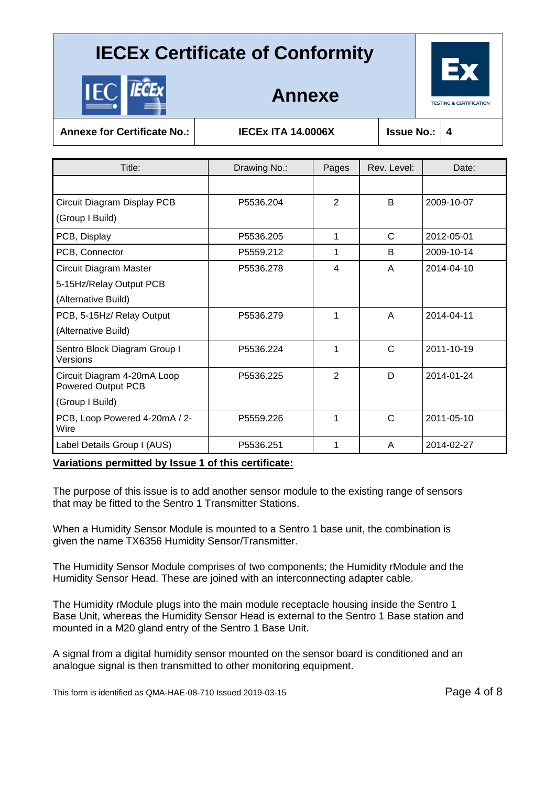

|--|--|

**Annexe**

**Annexe for Certificate No.: IECEx ITA 14.0006X Issue No.: 4**

| Title:                                                   | Drawing No.: | Pages          | Rev. Level:  | Date:      |  |
|----------------------------------------------------------|--------------|----------------|--------------|------------|--|
|                                                          |              |                |              |            |  |
| Circuit Diagram Display PCB                              | P5536.204    | 2              | B            | 2009-10-07 |  |
| (Group I Build)                                          |              |                |              |            |  |
| PCB, Display                                             | P5536.205    | 1              | C            | 2012-05-01 |  |
| PCB, Connector                                           | P5559.212    | 1              | B            | 2009-10-14 |  |
| Circuit Diagram Master                                   | P5536.278    | 4              | A            | 2014-04-10 |  |
| 5-15Hz/Relay Output PCB                                  |              |                |              |            |  |
| (Alternative Build)                                      |              |                |              |            |  |
| PCB, 5-15Hz/ Relay Output                                | P5536.279    | 1              | A            | 2014-04-11 |  |
| (Alternative Build)                                      |              |                |              |            |  |
| Sentro Block Diagram Group I<br>Versions                 | P5536.224    | 1              | $\mathsf{C}$ | 2011-10-19 |  |
| Circuit Diagram 4-20mA Loop<br><b>Powered Output PCB</b> | P5536.225    | $\overline{2}$ | D            | 2014-01-24 |  |
| (Group I Build)                                          |              |                |              |            |  |
| PCB, Loop Powered 4-20mA / 2-<br>Wire                    | P5559.226    | 1              | C            | 2011-05-10 |  |
| Label Details Group I (AUS)                              | P5536.251    | 1              | A            | 2014-02-27 |  |

#### **Variations permitted by Issue 1 of this certificate:**

The purpose of this issue is to add another sensor module to the existing range of sensors that may be fitted to the Sentro 1 Transmitter Stations.

When a Humidity Sensor Module is mounted to a Sentro 1 base unit, the combination is given the name TX6356 Humidity Sensor/Transmitter.

The Humidity Sensor Module comprises of two components; the Humidity rModule and the Humidity Sensor Head. These are joined with an interconnecting adapter cable.

The Humidity rModule plugs into the main module receptacle housing inside the Sentro 1 Base Unit, whereas the Humidity Sensor Head is external to the Sentro 1 Base station and mounted in a M20 gland entry of the Sentro 1 Base Unit.

A signal from a digital humidity sensor mounted on the sensor board is conditioned and an analogue signal is then transmitted to other monitoring equipment.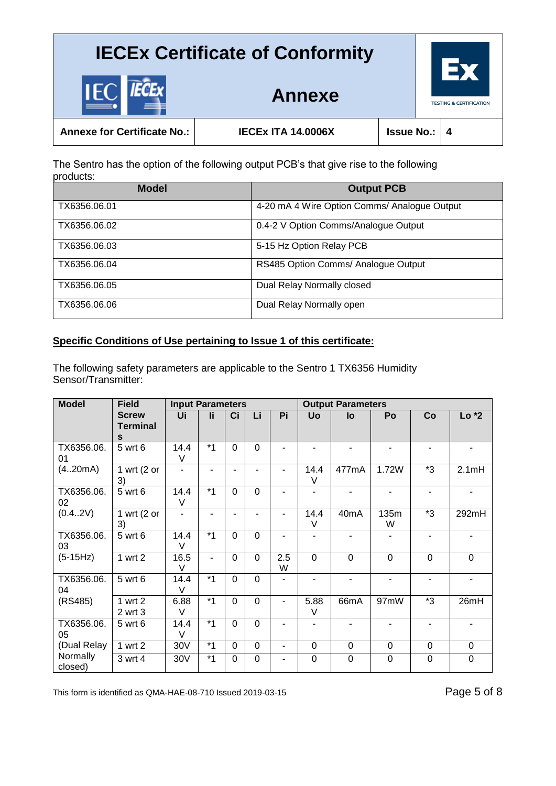

|  | manara fan Oantifianta Na |  |  |  |
|--|---------------------------|--|--|--|
|  |                           |  |  |  |

IE

**Annexe for Certificate No.: IECEx ITA 14.0006X Issue No.: 4**

**Annexe**

The Sentro has the option of the following output PCB's that give rise to the following products:

| <b>Model</b> | <b>Output PCB</b>                            |
|--------------|----------------------------------------------|
| TX6356.06.01 | 4-20 mA 4 Wire Option Comms/ Analogue Output |
| TX6356.06.02 | 0.4-2 V Option Comms/Analogue Output         |
| TX6356,06.03 | 5-15 Hz Option Relay PCB                     |
| TX6356.06.04 | RS485 Option Comms/ Analogue Output          |
| TX6356.06.05 | Dual Relay Normally closed                   |
| TX6356.06.06 | Dual Relay Normally open                     |

## **Specific Conditions of Use pertaining to Issue 1 of this certificate:**

The following safety parameters are applicable to the Sentro 1 TX6356 Humidity Sensor/Transmitter:

| <b>Model</b>        | <b>Field</b>                         | <b>Input Parameters</b>  |      |             |                |          | <b>Output Parameters</b> |                |                |             |                |
|---------------------|--------------------------------------|--------------------------|------|-------------|----------------|----------|--------------------------|----------------|----------------|-------------|----------------|
|                     | <b>Screw</b><br><b>Terminal</b><br>S | Ui                       | Ιi   | Ci          | Li             | Pi       | <b>Uo</b>                | lo             | Po             | Co          | $Lo*2$         |
| TX6356.06.<br>01    | 5 wrt 6                              | 14.4<br>V                | $*1$ | $\mathbf 0$ | $\overline{0}$ |          |                          |                |                |             |                |
| (4.20mA)            | 1 wrt $(2 \text{ or }$<br>3)         | $\blacksquare$           |      | ٠           |                |          | 14.4<br>V                | 477mA          | 1.72W          | *3          | 2.1mH          |
| TX6356.06.<br>02    | 5 wrt 6                              | 14.4<br>$\vee$           |      | $\Omega$    | $\overline{0}$ | ٠        | $\blacksquare$           |                | ٠              | ۰           |                |
| (0.4.2V)            | 1 wrt ( $2$ or<br>3)                 | $\overline{\phantom{0}}$ |      |             |                |          | 14.4<br>V                | 40mA           | 135m<br>W      | *3          | 292mH          |
| TX6356.06.<br>03    | 5 wrt 6                              | 14.4<br>$\vee$           | $*1$ | $\Omega$    | $\overline{0}$ | ۰        | $\overline{\phantom{a}}$ |                | $\blacksquare$ |             |                |
| $(5-15Hz)$          | 1 wrt 2                              | 16.5<br>$\vee$           | ۰    | $\mathbf 0$ | $\overline{0}$ | 2.5<br>W | $\overline{0}$           | $\overline{0}$ | $\overline{0}$ | $\mathbf 0$ | $\overline{0}$ |
| TX6356.06.<br>04    | 5 wrt 6                              | 14.4<br>$\vee$           | $*1$ | $\mathbf 0$ | $\overline{0}$ |          |                          |                |                |             |                |
| (RS485)             | 1 wrt 2<br>2 wrt 3                   | 6.88<br>$\vee$           | $*1$ | $\mathbf 0$ | $\overline{0}$ |          | 5.88<br>V                | 66mA           | 97mW           | *3          | 26mH           |
| TX6356.06.<br>05    | 5 wrt 6                              | 14.4<br>$\vee$           | $*1$ | $\mathbf 0$ | $\overline{0}$ |          | $\blacksquare$           |                |                |             |                |
| (Dual Relay         | 1 wrt 2                              | 30V                      | $*1$ | $\mathbf 0$ | $\overline{0}$ |          | $\Omega$                 | 0              | $\overline{0}$ | 0           | $\overline{0}$ |
| Normally<br>closed) | 3 wrt 4                              | 30V                      | $*1$ | 0           | 0              |          | 0                        | 0              | $\mathbf 0$    | 0           | $\Omega$       |

This form is identified as QMA-HAE-08-710 Issued 2019-03-15 Page 5 of 8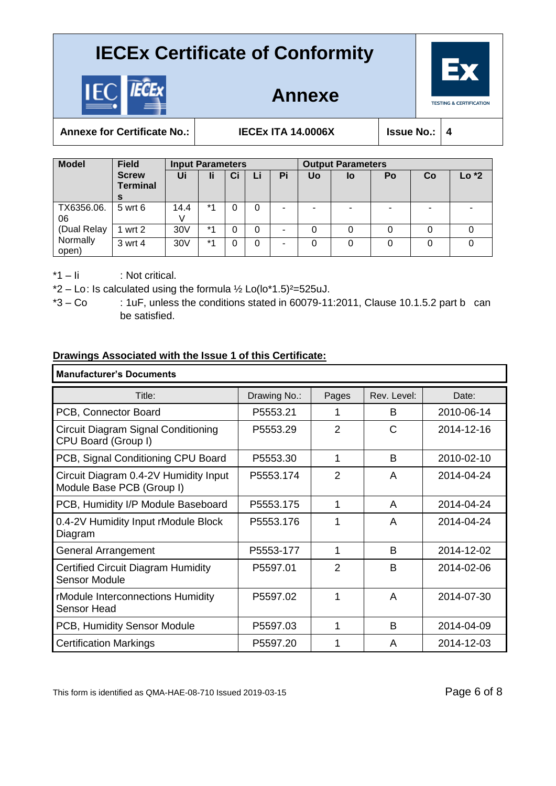

**Annexe**



Annexe for Certificate No.: **IECEX ITA 14.0006X** | Issue

| Je | No.: |  |
|----|------|--|
|    |      |  |

 $\mathbf{I}$ 

| <b>Model</b>      | <b>Field</b><br><b>Screw</b><br><b>Terminal</b><br>s | <b>Input Parameters</b> |      |    |          | <b>Output Parameters</b> |    |    |    |    |        |
|-------------------|------------------------------------------------------|-------------------------|------|----|----------|--------------------------|----|----|----|----|--------|
|                   |                                                      | Ui                      | li   | Ci | Li       | Pi                       | Uo | lo | Po | Co | $Lo*2$ |
| TX6356.06.<br>06  | 5 wrt 6                                              | 14.4                    | $*1$ |    | $\Omega$ |                          | -  |    | -  |    |        |
| (Dual Relay       | wrt 2                                                | 30V                     | $*1$ |    | 0        |                          | 0  |    |    |    |        |
| Normally<br>open) | 3 wrt 4                                              | 30V                     | $*1$ | 0  | 0        |                          | 0  |    | 0  | 0  |        |

\*1 – Ii : Not critical.

\*2 – Lo: Is calculated using the formula  $\frac{1}{2}$  Lo(lo\*1.5)<sup>2</sup>=525uJ.

 $*3 - Co$  : 1uF, unless the conditions stated in 60079-11:2011, Clause 10.1.5.2 part b can

be satisfied.

### **Drawings Associated with the Issue 1 of this Certificate:**

| <b>Manufacturer's Documents</b>                                    |              |                |             |            |  |  |
|--------------------------------------------------------------------|--------------|----------------|-------------|------------|--|--|
| Title:                                                             | Drawing No.: | Pages          | Rev. Level: | Date:      |  |  |
| PCB, Connector Board                                               | P5553.21     | 1              | B           | 2010-06-14 |  |  |
| Circuit Diagram Signal Conditioning<br>CPU Board (Group I)         | P5553.29     | $\overline{2}$ | C           | 2014-12-16 |  |  |
| PCB, Signal Conditioning CPU Board                                 | P5553.30     | 1              | B           | 2010-02-10 |  |  |
| Circuit Diagram 0.4-2V Humidity Input<br>Module Base PCB (Group I) | P5553.174    | $\overline{2}$ | A           | 2014-04-24 |  |  |
| PCB, Humidity I/P Module Baseboard                                 | P5553.175    | 1              | A           | 2014-04-24 |  |  |
| 0.4-2V Humidity Input rModule Block<br>Diagram                     | P5553.176    | 1              | A           | 2014-04-24 |  |  |
| <b>General Arrangement</b>                                         | P5553-177    | 1              | B           | 2014-12-02 |  |  |
| <b>Certified Circuit Diagram Humidity</b><br><b>Sensor Module</b>  | P5597.01     | $\overline{2}$ | B           | 2014-02-06 |  |  |
| rModule Interconnections Humidity<br>Sensor Head                   | P5597.02     | 1              | A           | 2014-07-30 |  |  |
| PCB, Humidity Sensor Module                                        | P5597.03     | 1              | B           | 2014-04-09 |  |  |
| <b>Certification Markings</b>                                      | P5597.20     | 1              | A           | 2014-12-03 |  |  |

This form is identified as QMA-HAE-08-710 Issued 2019-03-15 Page 6 of 8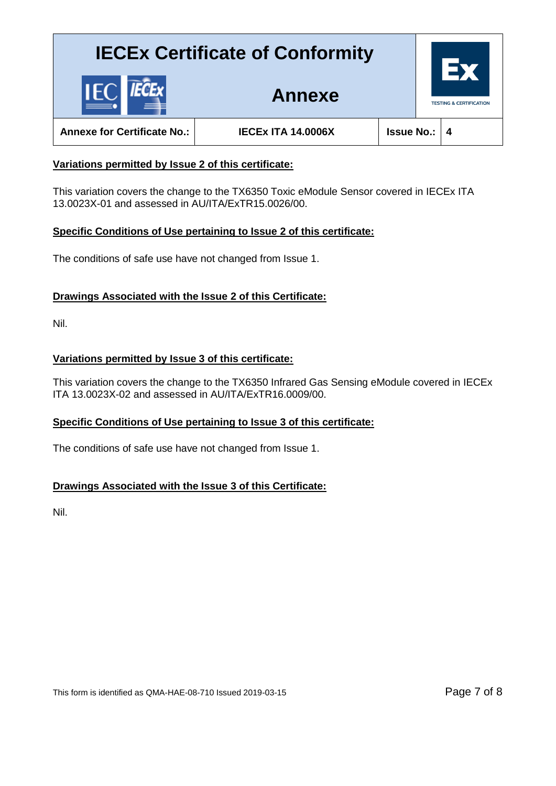

**Annexe for Certificate No.: IECEx ITA 14.0006X Issue No.: 4**

**Annexe**

### **Variations permitted by Issue 2 of this certificate:**

This variation covers the change to the TX6350 Toxic eModule Sensor covered in IECEx ITA 13.0023X-01 and assessed in AU/ITA/ExTR15.0026/00.

#### **Specific Conditions of Use pertaining to Issue 2 of this certificate:**

The conditions of safe use have not changed from Issue 1.

### **Drawings Associated with the Issue 2 of this Certificate:**

Nil.

### **Variations permitted by Issue 3 of this certificate:**

This variation covers the change to the TX6350 Infrared Gas Sensing eModule covered in IECEx ITA 13.0023X-02 and assessed in AU/ITA/ExTR16.0009/00.

## **Specific Conditions of Use pertaining to Issue 3 of this certificate:**

The conditions of safe use have not changed from Issue 1.

## **Drawings Associated with the Issue 3 of this Certificate:**

Nil.